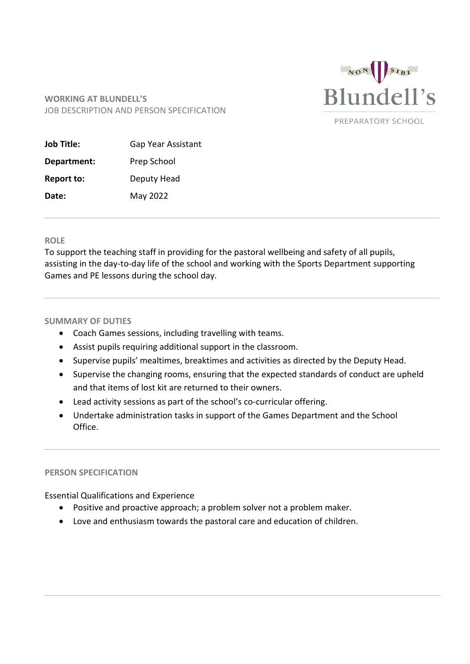

## **WORKING AT BLUNDELL'S** JOB DESCRIPTION AND PERSON SPECIFICATION

| <b>Job Title:</b> | Gap Year Assistant |  |
|-------------------|--------------------|--|
| Department:       | Prep School        |  |
| <b>Report to:</b> | Deputy Head        |  |
| Date:             | May 2022           |  |

## **ROLE**

To support the teaching staff in providing for the pastoral wellbeing and safety of all pupils, assisting in the day-to-day life of the school and working with the Sports Department supporting Games and PE lessons during the school day.

## **SUMMARY OF DUTIES**

- Coach Games sessions, including travelling with teams.
- Assist pupils requiring additional support in the classroom.
- Supervise pupils' mealtimes, breaktimes and activities as directed by the Deputy Head.
- Supervise the changing rooms, ensuring that the expected standards of conduct are upheld and that items of lost kit are returned to their owners.
- Lead activity sessions as part of the school's co-curricular offering.
- Undertake administration tasks in support of the Games Department and the School Office.

## **PERSON SPECIFICATION**

Essential Qualifications and Experience

- Positive and proactive approach; a problem solver not a problem maker.
- Love and enthusiasm towards the pastoral care and education of children.